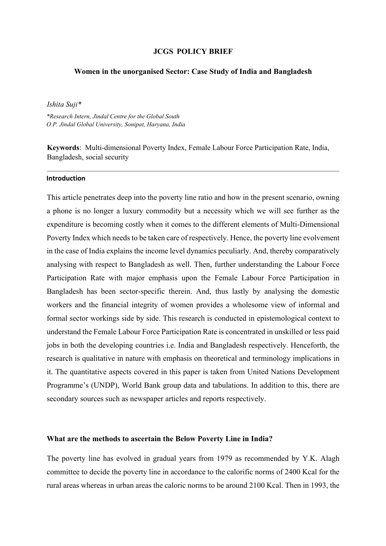### **JCGS POLICY BRIEF**

#### **Women in the unorganised Sector: Case Study of India and Bangladesh**

## *Ishita Suji\**

*\*Research Intern, Jindal Centre for the Global South O.P. Jindal Global University, Sonipat, Haryana, India* 

**Keywords**: Multi-dimensional Poverty Index, Female Labour Force Participation Rate, India, Bangladesh, social security

#### **Introduction**

This article penetrates deep into the poverty line ratio and how in the present scenario, owning a phone is no longer a luxury commodity but a necessity which we will see further as the expenditure is becoming costly when it comes to the different elements of Multi-Dimensional Poverty Index which needs to be taken care of respectively. Hence, the poverty line evolvement in the case of India explains the income level dynamics peculiarly. And, thereby comparatively analysing with respect to Bangladesh as well. Then, further understanding the Labour Force Participation Rate with major emphasis upon the Female Labour Force Participation in Bangladesh has been sector-specific therein. And, thus lastly by analysing the domestic workers and the financial integrity of women provides a wholesome view of informal and formal sector workings side by side. This research is conducted in epistemological context to understand the Female Labour Force Participation Rate is concentrated in unskilled or less paid jobs in both the developing countries i.e. India and Bangladesh respectively. Henceforth, the research is qualitative in nature with emphasis on theoretical and terminology implications in it. The quantitative aspects covered in this paper is taken from United Nations Development Programme's (UNDP), World Bank group data and tabulations. In addition to this, there are secondary sources such as newspaper articles and reports respectively.

#### **What are the methods to ascertain the Below Poverty Line in India?**

The poverty line has evolved in gradual years from 1979 as recommended by Y.K. Alagh committee to decide the poverty line in accordance to the calorific norms of 2400 Kcal for the rural areas whereas in urban areas the caloric norms to be around 2100 Kcal. Then in 1993, the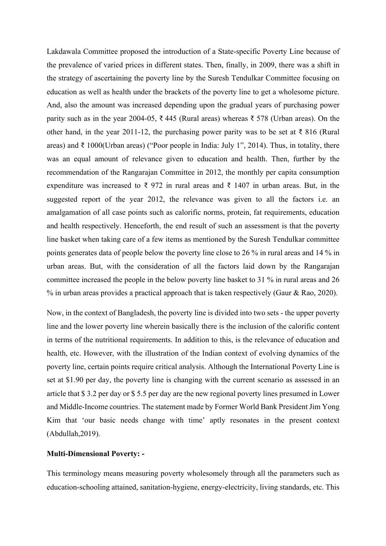Lakdawala Committee proposed the introduction of a State-specific Poverty Line because of the prevalence of varied prices in different states. Then, finally, in 2009, there was a shift in the strategy of ascertaining the poverty line by the Suresh Tendulkar Committee focusing on education as well as health under the brackets of the poverty line to get a wholesome picture. And, also the amount was increased depending upon the gradual years of purchasing power parity such as in the year 2004-05, ₹ 445 (Rural areas) whereas ₹ 578 (Urban areas). On the other hand, in the year 2011-12, the purchasing power parity was to be set at ₹ 816 (Rural areas) and ₹ 1000(Urban areas) ("Poor people in India: July 1", 2014). Thus, in totality, there was an equal amount of relevance given to education and health. Then, further by the recommendation of the Rangarajan Committee in 2012, the monthly per capita consumption expenditure was increased to  $\bar{\xi}$  972 in rural areas and  $\bar{\xi}$  1407 in urban areas. But, in the suggested report of the year 2012, the relevance was given to all the factors i.e. an amalgamation of all case points such as calorific norms, protein, fat requirements, education and health respectively. Henceforth, the end result of such an assessment is that the poverty line basket when taking care of a few items as mentioned by the Suresh Tendulkar committee points generates data of people below the poverty line close to 26 % in rural areas and 14 % in urban areas. But, with the consideration of all the factors laid down by the Rangarajan committee increased the people in the below poverty line basket to 31 % in rural areas and 26 % in urban areas provides a practical approach that is taken respectively (Gaur & Rao, 2020).

Now, in the context of Bangladesh, the poverty line is divided into two sets - the upper poverty line and the lower poverty line wherein basically there is the inclusion of the calorific content in terms of the nutritional requirements. In addition to this, is the relevance of education and health, etc. However, with the illustration of the Indian context of evolving dynamics of the poverty line, certain points require critical analysis. Although the International Poverty Line is set at \$1.90 per day, the poverty line is changing with the current scenario as assessed in an article that \$ 3.2 per day or \$ 5.5 per day are the new regional poverty lines presumed in Lower and Middle-Income countries. The statement made by Former World Bank President Jim Yong Kim that 'our basic needs change with time' aptly resonates in the present context (Abdullah,2019).

### **Multi-Dimensional Poverty: -**

This terminology means measuring poverty wholesomely through all the parameters such as education-schooling attained, sanitation-hygiene, energy-electricity, living standards, etc. This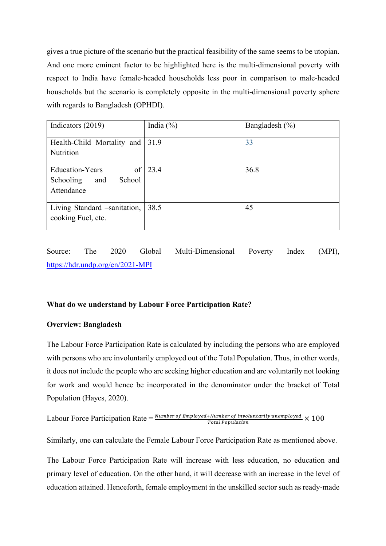gives a true picture of the scenario but the practical feasibility of the same seems to be utopian. And one more eminent factor to be highlighted here is the multi-dimensional poverty with respect to India have female-headed households less poor in comparison to male-headed households but the scenario is completely opposite in the multi-dimensional poverty sphere with regards to Bangladesh (OPHDI).

| Indicators (2019)               | India $(\%)$    | Bangladesh $(\% )$ |
|---------------------------------|-----------------|--------------------|
|                                 |                 |                    |
| Health-Child Mortality and 31.9 |                 | 33                 |
| Nutrition                       |                 |                    |
|                                 |                 |                    |
| <b>Education-Years</b>          | of $\vert$ 23.4 | 36.8               |
| School<br>Schooling<br>and      |                 |                    |
| Attendance                      |                 |                    |
|                                 |                 |                    |
| Living Standard -sanitation,    | 38.5            | 45                 |
| cooking Fuel, etc.              |                 |                    |
|                                 |                 |                    |

Source: The 2020 Global Multi-Dimensional Poverty Index (MPI), https://hdr.undp.org/en/2021-MPI

## **What do we understand by Labour Force Participation Rate?**

#### **Overview: Bangladesh**

The Labour Force Participation Rate is calculated by including the persons who are employed with persons who are involuntarily employed out of the Total Population. Thus, in other words, it does not include the people who are seeking higher education and are voluntarily not looking for work and would hence be incorporated in the denominator under the bracket of Total Population (Hayes, 2020).

Labour Force Partition Rate = 
$$
\frac{Number\ of\ Emploved + Number\ of\ involuntarily\ unemployed}{Total\ Population} \times 100
$$

Similarly, one can calculate the Female Labour Force Participation Rate as mentioned above.

The Labour Force Participation Rate will increase with less education, no education and primary level of education. On the other hand, it will decrease with an increase in the level of education attained. Henceforth, female employment in the unskilled sector such as ready-made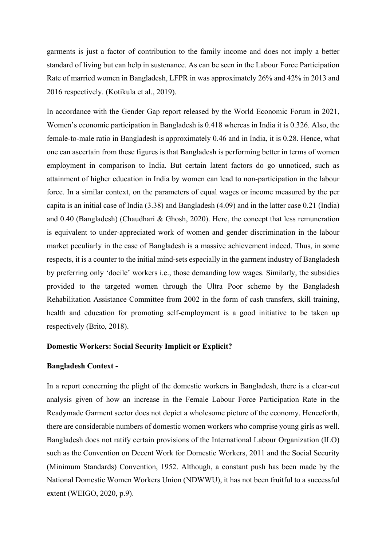garments is just a factor of contribution to the family income and does not imply a better standard of living but can help in sustenance. As can be seen in the Labour Force Participation Rate of married women in Bangladesh, LFPR in was approximately 26% and 42% in 2013 and 2016 respectively. (Kotikula et al., 2019).

In accordance with the Gender Gap report released by the World Economic Forum in 2021, Women's economic participation in Bangladesh is 0.418 whereas in India it is 0.326. Also, the female-to-male ratio in Bangladesh is approximately 0.46 and in India, it is 0.28. Hence, what one can ascertain from these figures is that Bangladesh is performing better in terms of women employment in comparison to India. But certain latent factors do go unnoticed, such as attainment of higher education in India by women can lead to non-participation in the labour force. In a similar context, on the parameters of equal wages or income measured by the per capita is an initial case of India (3.38) and Bangladesh (4.09) and in the latter case 0.21 (India) and 0.40 (Bangladesh) (Chaudhari & Ghosh, 2020). Here, the concept that less remuneration is equivalent to under-appreciated work of women and gender discrimination in the labour market peculiarly in the case of Bangladesh is a massive achievement indeed. Thus, in some respects, it is a counter to the initial mind-sets especially in the garment industry of Bangladesh by preferring only 'docile' workers i.e., those demanding low wages. Similarly, the subsidies provided to the targeted women through the Ultra Poor scheme by the Bangladesh Rehabilitation Assistance Committee from 2002 in the form of cash transfers, skill training, health and education for promoting self-employment is a good initiative to be taken up respectively (Brito, 2018).

### **Domestic Workers: Social Security Implicit or Explicit?**

### **Bangladesh Context -**

In a report concerning the plight of the domestic workers in Bangladesh, there is a clear-cut analysis given of how an increase in the Female Labour Force Participation Rate in the Readymade Garment sector does not depict a wholesome picture of the economy. Henceforth, there are considerable numbers of domestic women workers who comprise young girls as well. Bangladesh does not ratify certain provisions of the International Labour Organization (ILO) such as the Convention on Decent Work for Domestic Workers, 2011 and the Social Security (Minimum Standards) Convention, 1952. Although, a constant push has been made by the National Domestic Women Workers Union (NDWWU), it has not been fruitful to a successful extent (WEIGO, 2020, p.9).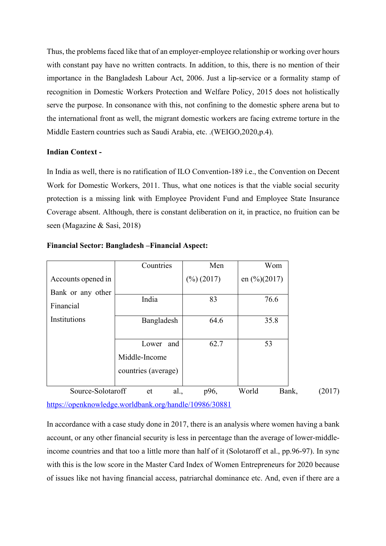Thus, the problems faced like that of an employer-employee relationship or working over hours with constant pay have no written contracts. In addition, to this, there is no mention of their importance in the Bangladesh Labour Act, 2006. Just a lip-service or a formality stamp of recognition in Domestic Workers Protection and Welfare Policy, 2015 does not holistically serve the purpose. In consonance with this, not confining to the domestic sphere arena but to the international front as well, the migrant domestic workers are facing extreme torture in the Middle Eastern countries such as Saudi Arabia, etc. .(WEIGO,2020,p.4).

## **Indian Context -**

In India as well, there is no ratification of ILO Convention-189 i.e., the Convention on Decent Work for Domestic Workers, 2011. Thus, what one notices is that the viable social security protection is a missing link with Employee Provident Fund and Employee State Insurance Coverage absent. Although, there is constant deliberation on it, in practice, no fruition can be seen (Magazine & Sasi, 2018)

|                    | Countries           | Men                    | Wom                     |                 |
|--------------------|---------------------|------------------------|-------------------------|-----------------|
| Accounts opened in |                     | $(\frac{9}{6})$ (2017) | en $\frac{(0)}{(2017)}$ |                 |
| Bank or any other  |                     |                        |                         |                 |
| Financial          | India               | 83                     | 76.6                    |                 |
| Institutions       | Bangladesh          | 64.6                   | 35.8                    |                 |
|                    |                     |                        |                         |                 |
|                    | and<br>Lower        | 62.7                   | 53                      |                 |
|                    | Middle-Income       |                        |                         |                 |
|                    | countries (average) |                        |                         |                 |
|                    |                     |                        |                         |                 |
| Source-Solotaroff  | al.,<br>et          | p96,                   | World                   | Bank,<br>(2017) |

### **Financial Sector: Bangladesh –Financial Aspect:**

https://openknowledge.worldbank.org/handle/10986/30881

In accordance with a case study done in 2017, there is an analysis where women having a bank account, or any other financial security is less in percentage than the average of lower-middleincome countries and that too a little more than half of it (Solotaroff et al., pp.96-97). In sync with this is the low score in the Master Card Index of Women Entrepreneurs for 2020 because of issues like not having financial access, patriarchal dominance etc. And, even if there are a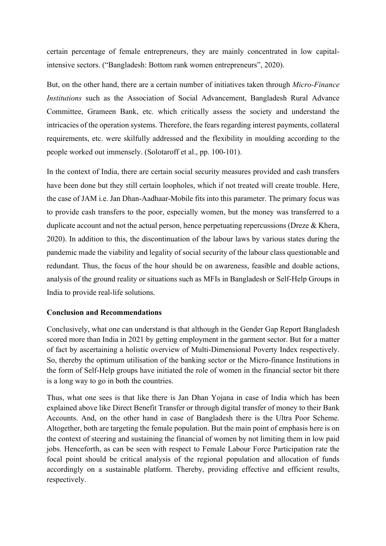certain percentage of female entrepreneurs, they are mainly concentrated in low capitalintensive sectors. ("Bangladesh: Bottom rank women entrepreneurs", 2020).

But, on the other hand, there are a certain number of initiatives taken through *Micro-Finance Institutions* such as the Association of Social Advancement, Bangladesh Rural Advance Committee, Grameen Bank, etc. which critically assess the society and understand the intricacies of the operation systems. Therefore, the fears regarding interest payments, collateral requirements, etc. were skilfully addressed and the flexibility in moulding according to the people worked out immensely. (Solotaroff et al., pp. 100-101).

In the context of India, there are certain social security measures provided and cash transfers have been done but they still certain loopholes, which if not treated will create trouble. Here, the case of JAM i.e. Jan Dhan-Aadhaar-Mobile fits into this parameter. The primary focus was to provide cash transfers to the poor, especially women, but the money was transferred to a duplicate account and not the actual person, hence perpetuating repercussions (Dreze & Khera, 2020). In addition to this, the discontinuation of the labour laws by various states during the pandemic made the viability and legality of social security of the labour class questionable and redundant. Thus, the focus of the hour should be on awareness, feasible and doable actions, analysis of the ground reality or situations such as MFIs in Bangladesh or Self-Help Groups in India to provide real-life solutions.

## **Conclusion and Recommendations**

Conclusively, what one can understand is that although in the Gender Gap Report Bangladesh scored more than India in 2021 by getting employment in the garment sector. But for a matter of fact by ascertaining a holistic overview of Multi-Dimensional Poverty Index respectively. So, thereby the optimum utilisation of the banking sector or the Micro-finance Institutions in the form of Self-Help groups have initiated the role of women in the financial sector bit there is a long way to go in both the countries.

Thus, what one sees is that like there is Jan Dhan Yojana in case of India which has been explained above like Direct Benefit Transfer or through digital transfer of money to their Bank Accounts. And, on the other hand in case of Bangladesh there is the Ultra Poor Scheme. Altogether, both are targeting the female population. But the main point of emphasis here is on the context of steering and sustaining the financial of women by not limiting them in low paid jobs. Henceforth, as can be seen with respect to Female Labour Force Participation rate the focal point should be critical analysis of the regional population and allocation of funds accordingly on a sustainable platform. Thereby, providing effective and efficient results, respectively.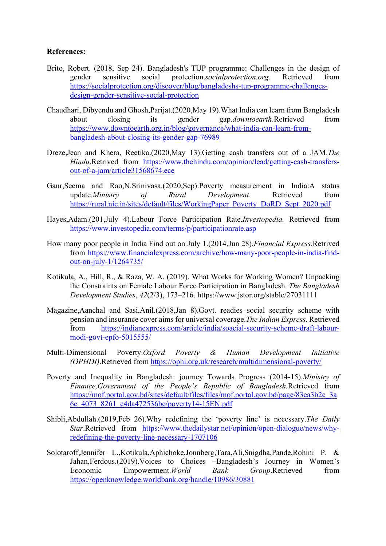# **References:**

- Brito, Robert. (2018, Sep 24). Bangladesh's TUP programme: Challenges in the design of gender sensitive social protection.*socialprotection.org*. Retrieved from https://socialprotection.org/discover/blog/bangladeshs-tup-programme-challengesdesign-gender-sensitive-social-protection
- Chaudhari, Dibyendu and Ghosh,Parijat.(2020,May 19).What India can learn from Bangladesh about closing its gender gap.*downtoearth*.Retrieved from https://www.downtoearth.org.in/blog/governance/what-india-can-learn-frombangladesh-about-closing-its-gender-gap-76989
- Dreze,Jean and Khera, Reetika.(2020,May 13).Getting cash transfers out of a JAM.*The Hindu*.Retrived from https://www.thehindu.com/opinion/lead/getting-cash-transfersout-of-a-jam/article31568674.ece
- Gaur,Seema and Rao,N.Srinivasa.(2020,Sep).Poverty measurement in India:A status update.*Ministry of Rural Development*. Retrieved from https://rural.nic.in/sites/default/files/WorkingPaper\_Poverty\_DoRD\_Sept\_2020.pdf
- Hayes,Adam.(201,July 4).Labour Force Participation Rate.*Investopedia.* Retrieved from https://www.investopedia.com/terms/p/participationrate.asp
- How many poor people in India Find out on July 1.(2014,Jun 28).*Financial Express*.Retrived from https://www.financialexpress.com/archive/how-many-poor-people-in-india-findout-on-july-1/1264735/
- Kotikula, A., Hill, R., & Raza, W. A. (2019). What Works for Working Women? Unpacking the Constraints on Female Labour Force Participation in Bangladesh. *The Bangladesh Development Studies*, *42*(2/3), 173–216. https://www.jstor.org/stable/27031111
- Magazine,Aanchal and Sasi,Anil.(2018,Jan 8).Govt. readies social security scheme with pension and insurance cover aims for universal coverage.*The Indian Express*. Retrieved from https://indianexpress.com/article/india/soacial-security-scheme-draft-labourmodi-govt-epfo-5015555/
- Multi-Dimensional Poverty.*Oxford Poverty & Human Development Initiative (OPHDI)*.Retrieved from https://ophi.org.uk/research/multidimensional-poverty/
- Poverty and Inequality in Bangladesh: journey Towards Progress (2014-15).*Ministry of Finance,Government of the People's Republic of Bangladesh.*Retrieved from https://mof.portal.gov.bd/sites/default/files/files/mof.portal.gov.bd/page/83ea3b2c\_3a 6e\_4073\_8261\_c4da472536be/poverty14-15EN.pdf
- Shibli,Abdullah.(2019,Feb 26).Why redefining the 'poverty line' is necessary.*The Daily Star*.Retrieved from https://www.thedailystar.net/opinion/open-dialogue/news/whyredefining-the-poverty-line-necessary-1707106
- Solotaroff,Jennifer L.,Kotikula,Aphichoke,Jonnberg,Tara,Ali,Snigdha,Pande,Rohini P. & Jahan,Ferdous.(2019).Voices to Choices –Bangladesh's Journey in Women's Economic Empowerment.*World Bank Group*.Retrieved from https://openknowledge.worldbank.org/handle/10986/30881